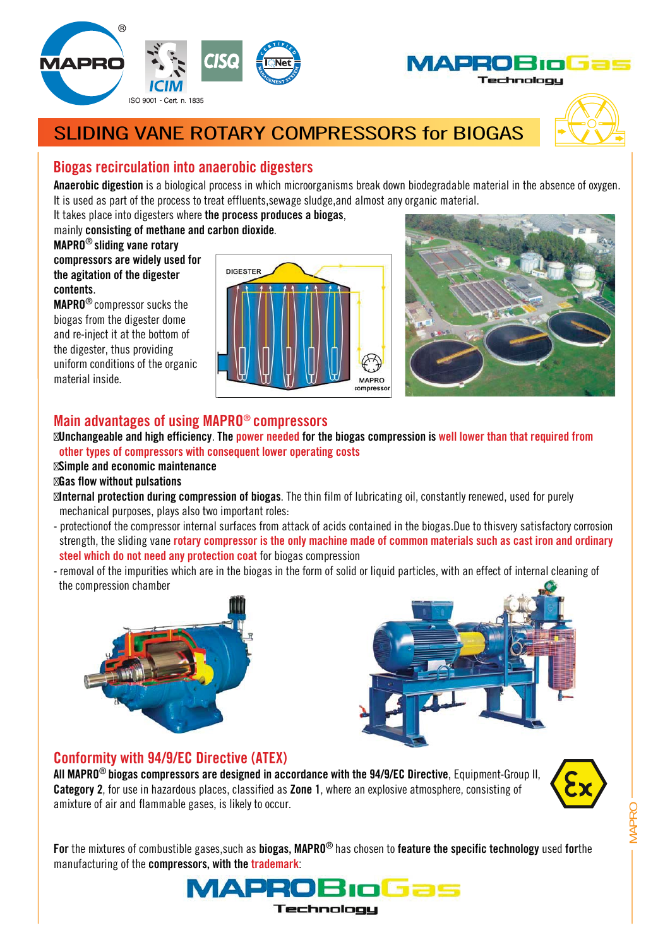



## SLIDING VANE ROTARY COMPRESSORS for BIOGAS



### **Biogas recirculation into anaerobic digesters**

**Anaerobic digestion** is a biological process in which microorganisms break down biodegradable material in the absence of oxygen. It is used as part of the process to treat effluents,sewage sludge,and almost any organic material.

It takes place into digesters where **the process produces a biogas**,

#### mainly **consisting of methane and carbon dioxide**.

**MAPRO**® **sliding vane rotary compressors are widely used for the agitation of the digester contents**.

**MAPRO**® compressor sucks the biogas from the digester dome and re-inject it at the bottom of the digester, thus providing uniform conditions of the organic material inside.





#### **Main advantages of using MAPRO**® **compressors**

**Unchangeable and high efficiency**. **The power needed for the biogas compression is well lower than that required from other types of compressors with consequent lower operating costs**

#### **Simple and economic maintenance**

#### **Gas flow without pulsations**

**Internal protection during compression of biogas**. The thin film of lubricating oil, constantly renewed, used for purely mechanical purposes, plays also two important roles:

- protectionof the compressor internal surfaces from attack of acids contained in the biogas.Due to thisvery satisfactory corrosion strength, the sliding vane **rotary compressor is the only machine made of common materials such as cast iron and ordinary steel which do not need any protection coat** for biogas compression
- removal of the impurities which are in the biogas in the form of solid or liquid particles, with an effect of internal cleaning of the compression chamber





#### **Conformity with 94/9/EC Directive (ATEX)**

**All MAPRO**® **biogas compressors are designed in accordance with the 94/9/EC Directive**, Equipment-Group II, **Category 2**, for use in hazardous places, classified as **Zone 1**, where an explosive atmosphere, consisting of amixture of air and flammable gases, is likely to occur.



MAPRO

**For** the mixtures of combustible gases,such as **biogas, MAPRO**® has chosen to **feature the specific technology** used **for**the manufacturing of the **compressors, with the trademark**: